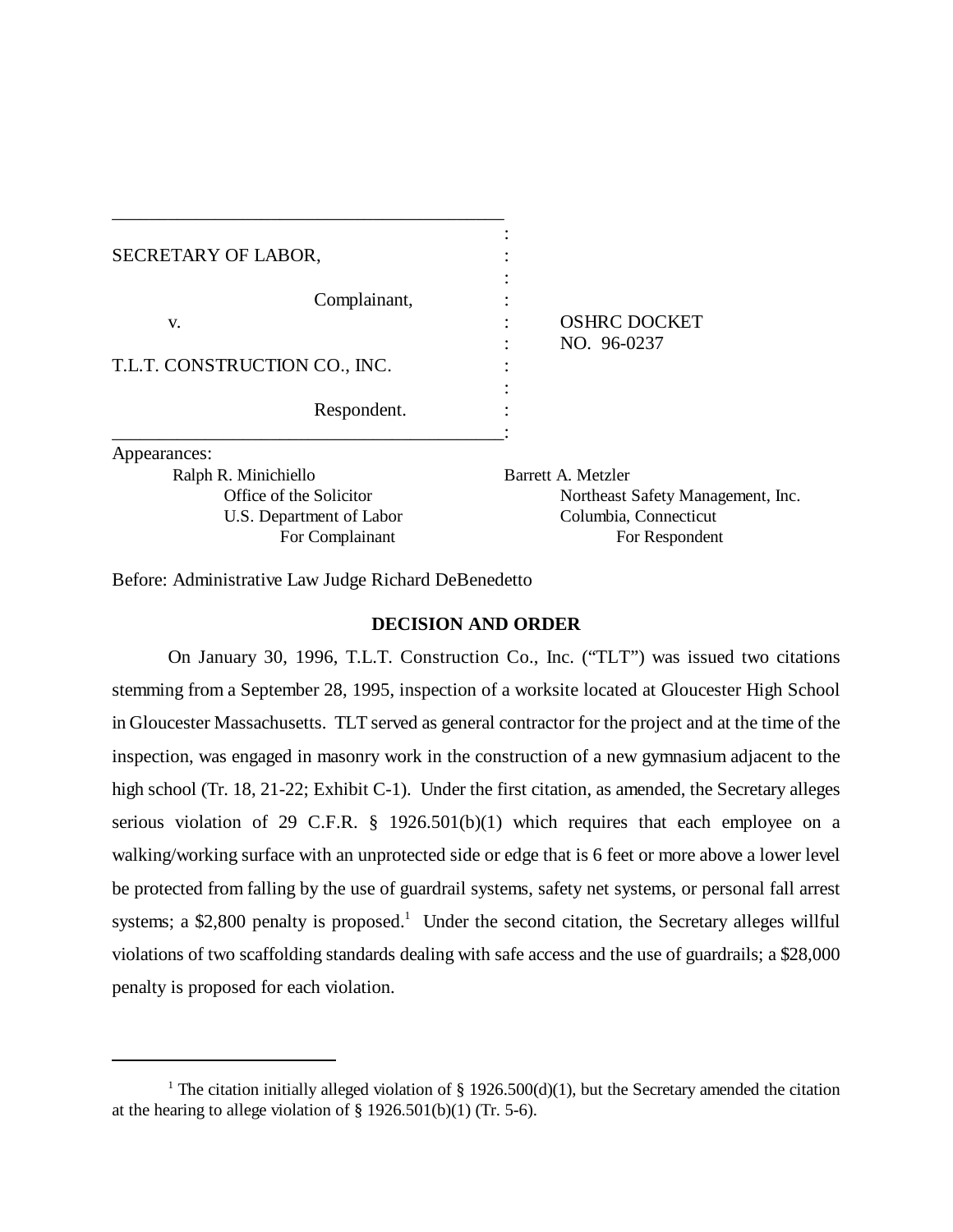| SECRETARY OF LABOR,                                                |                                    |
|--------------------------------------------------------------------|------------------------------------|
| Complainant,<br>V.<br>T.L.T. CONSTRUCTION CO., INC.<br>Respondent. | <b>OSHRC DOCKET</b><br>NO. 96-0237 |
| Appearances:                                                       |                                    |
| Ralph R. Minichiello                                               | Barrett A. Metzler                 |
| Office of the Solicitor                                            | Northeast Safety Management, Inc.  |
| U.S. Department of Labor                                           | Columbia, Connecticut              |
| For Complainant                                                    | For Respondent                     |

Before: Administrative Law Judge Richard DeBenedetto

\_\_\_\_\_\_\_\_\_\_\_\_\_\_\_\_\_\_\_\_\_\_\_\_\_\_\_\_\_\_\_\_\_\_\_\_\_\_\_\_\_\_

# **DECISION AND ORDER**

On January 30, 1996, T.L.T. Construction Co., Inc. ("TLT") was issued two citations stemming from a September 28, 1995, inspection of a worksite located at Gloucester High School in Gloucester Massachusetts. TLT served as general contractor for the project and at the time of the inspection, was engaged in masonry work in the construction of a new gymnasium adjacent to the high school (Tr. 18, 21-22; Exhibit C-1). Under the first citation, as amended, the Secretary alleges serious violation of 29 C.F.R. § 1926.501(b)(1) which requires that each employee on a walking/working surface with an unprotected side or edge that is 6 feet or more above a lower level be protected from falling by the use of guardrail systems, safety net systems, or personal fall arrest systems; a \$2,800 penalty is proposed.<sup>1</sup> Under the second citation, the Secretary alleges willful violations of two scaffolding standards dealing with safe access and the use of guardrails; a \$28,000 penalty is proposed for each violation.

<sup>&</sup>lt;sup>1</sup> The citation initially alleged violation of § 1926.500(d)(1), but the Secretary amended the citation at the hearing to allege violation of  $\S$  1926.501(b)(1) (Tr. 5-6).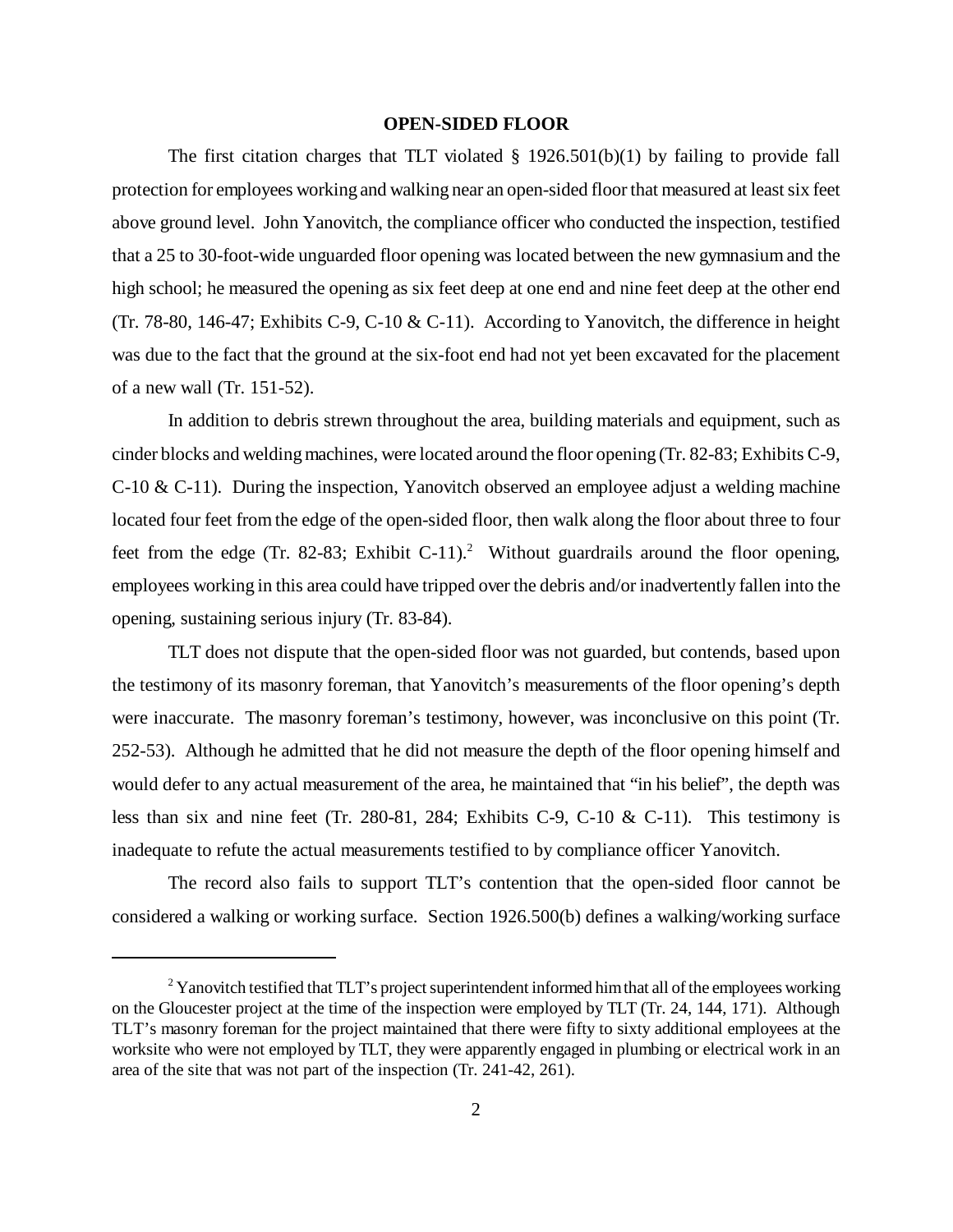# **OPEN-SIDED FLOOR**

The first citation charges that TLT violated  $\S$  1926.501(b)(1) by failing to provide fall protection for employees working and walking near an open-sided floor that measured at least six feet above ground level. John Yanovitch, the compliance officer who conducted the inspection, testified that a 25 to 30-foot-wide unguarded floor opening was located between the new gymnasium and the high school; he measured the opening as six feet deep at one end and nine feet deep at the other end (Tr. 78-80, 146-47; Exhibits C-9, C-10  $&$  C-11). According to Yanovitch, the difference in height was due to the fact that the ground at the six-foot end had not yet been excavated for the placement of a new wall (Tr. 151-52).

In addition to debris strewn throughout the area, building materials and equipment, such as cinder blocks and welding machines, were located around the floor opening (Tr. 82-83; Exhibits C-9, C-10 & C-11). During the inspection, Yanovitch observed an employee adjust a welding machine located four feet from the edge of the open-sided floor, then walk along the floor about three to four feet from the edge (Tr. 82-83; Exhibit C-11).<sup>2</sup> Without guardrails around the floor opening, employees working in this area could have tripped over the debris and/or inadvertently fallen into the opening, sustaining serious injury (Tr. 83-84).

TLT does not dispute that the open-sided floor was not guarded, but contends, based upon the testimony of its masonry foreman, that Yanovitch's measurements of the floor opening's depth were inaccurate. The masonry foreman's testimony, however, was inconclusive on this point (Tr. 252-53). Although he admitted that he did not measure the depth of the floor opening himself and would defer to any actual measurement of the area, he maintained that "in his belief", the depth was less than six and nine feet (Tr. 280-81, 284; Exhibits C-9, C-10 & C-11). This testimony is inadequate to refute the actual measurements testified to by compliance officer Yanovitch.

The record also fails to support TLT's contention that the open-sided floor cannot be considered a walking or working surface. Section 1926.500(b) defines a walking/working surface

 $2$  Yanovitch testified that TLT's project superintendent informed him that all of the employees working on the Gloucester project at the time of the inspection were employed by TLT (Tr. 24, 144, 171). Although TLT's masonry foreman for the project maintained that there were fifty to sixty additional employees at the worksite who were not employed by TLT, they were apparently engaged in plumbing or electrical work in an area of the site that was not part of the inspection (Tr. 241-42, 261).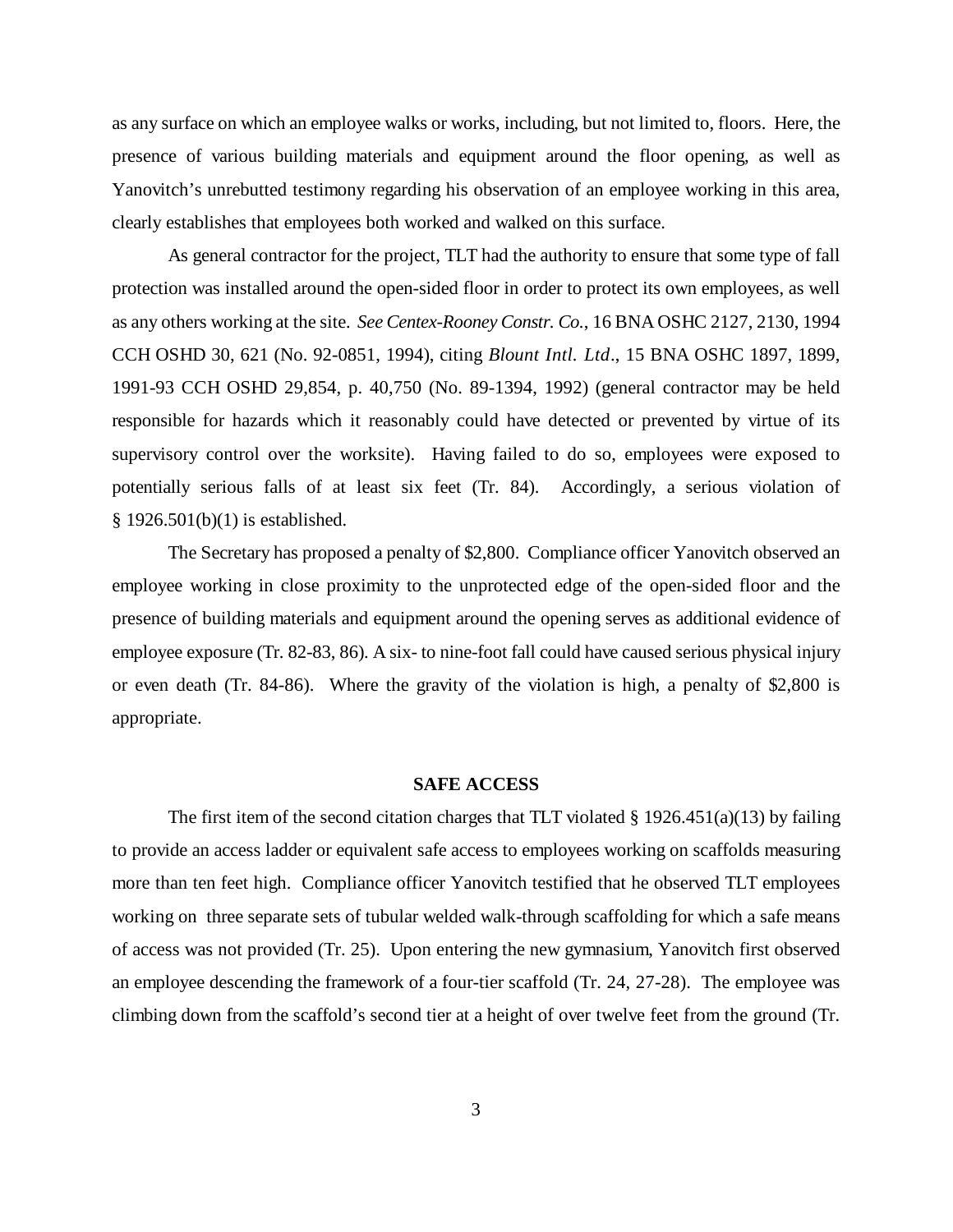as any surface on which an employee walks or works, including, but not limited to, floors. Here, the presence of various building materials and equipment around the floor opening, as well as Yanovitch's unrebutted testimony regarding his observation of an employee working in this area, clearly establishes that employees both worked and walked on this surface.

As general contractor for the project, TLT had the authority to ensure that some type of fall protection was installed around the open-sided floor in order to protect its own employees, as well as any others working at the site. *See Centex-Rooney Constr. Co.*, 16 BNA OSHC 2127, 2130, 1994 CCH OSHD 30, 621 (No. 92-0851, 1994), citing *Blount Intl. Ltd*., 15 BNA OSHC 1897, 1899, 1991-93 CCH OSHD 29,854, p. 40,750 (No. 89-1394, 1992) (general contractor may be held responsible for hazards which it reasonably could have detected or prevented by virtue of its supervisory control over the worksite). Having failed to do so, employees were exposed to potentially serious falls of at least six feet (Tr. 84). Accordingly, a serious violation of § 1926.501(b)(1) is established.

The Secretary has proposed a penalty of \$2,800. Compliance officer Yanovitch observed an employee working in close proximity to the unprotected edge of the open-sided floor and the presence of building materials and equipment around the opening serves as additional evidence of employee exposure (Tr. 82-83, 86). A six- to nine-foot fall could have caused serious physical injury or even death (Tr. 84-86). Where the gravity of the violation is high, a penalty of \$2,800 is appropriate.

#### **SAFE ACCESS**

The first item of the second citation charges that TLT violated  $\S 1926.451(a)(13)$  by failing to provide an access ladder or equivalent safe access to employees working on scaffolds measuring more than ten feet high. Compliance officer Yanovitch testified that he observed TLT employees working on three separate sets of tubular welded walk-through scaffolding for which a safe means of access was not provided (Tr. 25). Upon entering the new gymnasium, Yanovitch first observed an employee descending the framework of a four-tier scaffold (Tr. 24, 27-28). The employee was climbing down from the scaffold's second tier at a height of over twelve feet from the ground (Tr.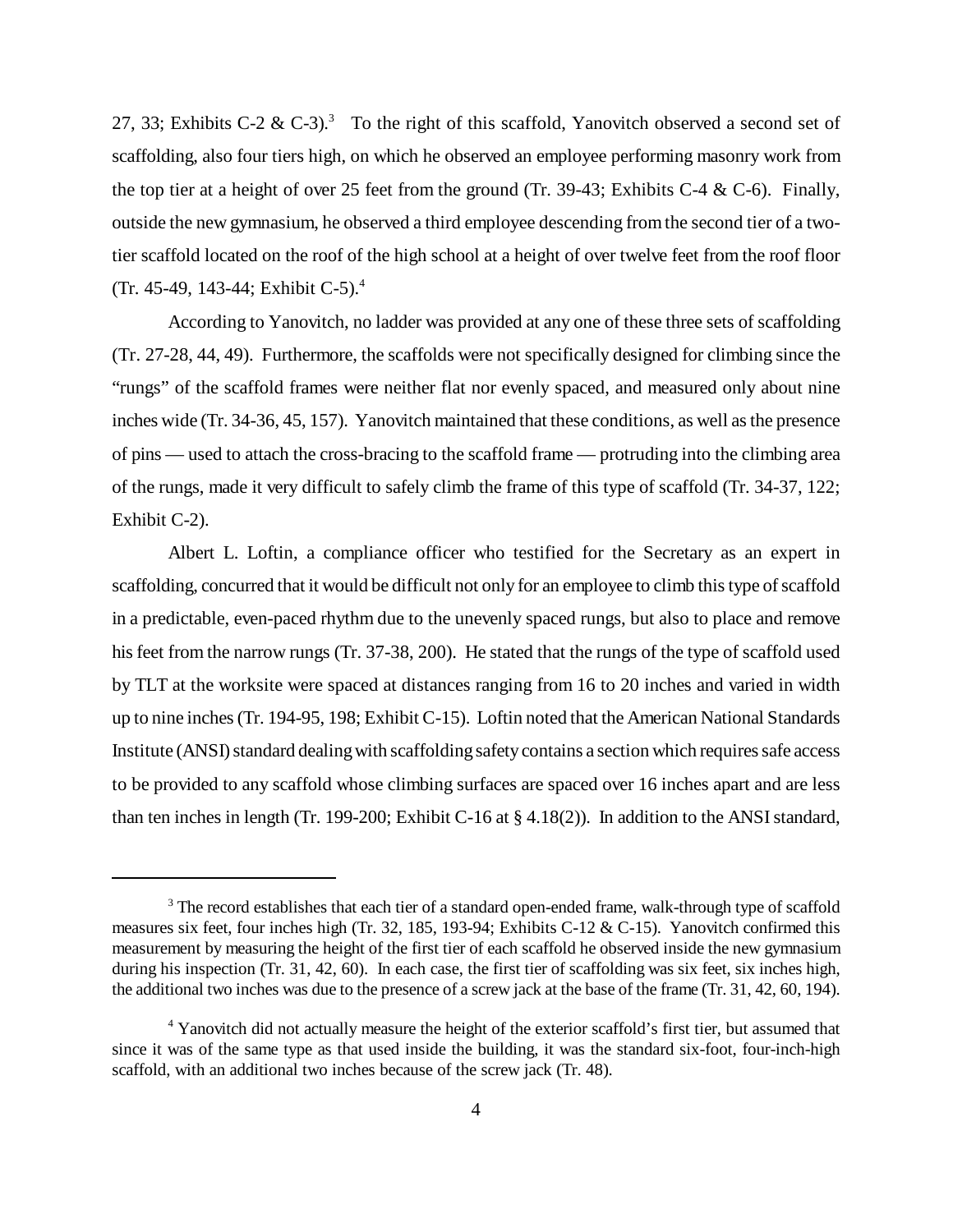27, 33; Exhibits C-2 & C-3).<sup>3</sup> To the right of this scaffold, Yanovitch observed a second set of scaffolding, also four tiers high, on which he observed an employee performing masonry work from the top tier at a height of over 25 feet from the ground (Tr. 39-43; Exhibits C-4 & C-6). Finally, outside the new gymnasium, he observed a third employee descending from the second tier of a twotier scaffold located on the roof of the high school at a height of over twelve feet from the roof floor (Tr. 45-49, 143-44; Exhibit C-5).<sup>4</sup>

According to Yanovitch, no ladder was provided at any one of these three sets of scaffolding (Tr. 27-28, 44, 49). Furthermore, the scaffolds were not specifically designed for climbing since the "rungs" of the scaffold frames were neither flat nor evenly spaced, and measured only about nine inches wide (Tr. 34-36, 45, 157). Yanovitch maintained that these conditions, as well as the presence of pins — used to attach the cross-bracing to the scaffold frame — protruding into the climbing area of the rungs, made it very difficult to safely climb the frame of this type of scaffold (Tr. 34-37, 122; Exhibit C-2).

Albert L. Loftin, a compliance officer who testified for the Secretary as an expert in scaffolding, concurred that it would be difficult not only for an employee to climb this type of scaffold in a predictable, even-paced rhythm due to the unevenly spaced rungs, but also to place and remove his feet from the narrow rungs (Tr. 37-38, 200). He stated that the rungs of the type of scaffold used by TLT at the worksite were spaced at distances ranging from 16 to 20 inches and varied in width up to nine inches (Tr. 194-95, 198; Exhibit C-15). Loftin noted that the American National Standards Institute (ANSI) standard dealing with scaffolding safety contains a section which requires safe access to be provided to any scaffold whose climbing surfaces are spaced over 16 inches apart and are less than ten inches in length (Tr. 199-200; Exhibit C-16 at § 4.18(2)). In addition to the ANSI standard,

<sup>&</sup>lt;sup>3</sup> The record establishes that each tier of a standard open-ended frame, walk-through type of scaffold measures six feet, four inches high (Tr. 32, 185, 193-94; Exhibits C-12 & C-15). Yanovitch confirmed this measurement by measuring the height of the first tier of each scaffold he observed inside the new gymnasium during his inspection (Tr. 31, 42, 60). In each case, the first tier of scaffolding was six feet, six inches high, the additional two inches was due to the presence of a screw jack at the base of the frame (Tr. 31, 42, 60, 194).

<sup>&</sup>lt;sup>4</sup> Yanovitch did not actually measure the height of the exterior scaffold's first tier, but assumed that since it was of the same type as that used inside the building, it was the standard six-foot, four-inch-high scaffold, with an additional two inches because of the screw jack (Tr. 48).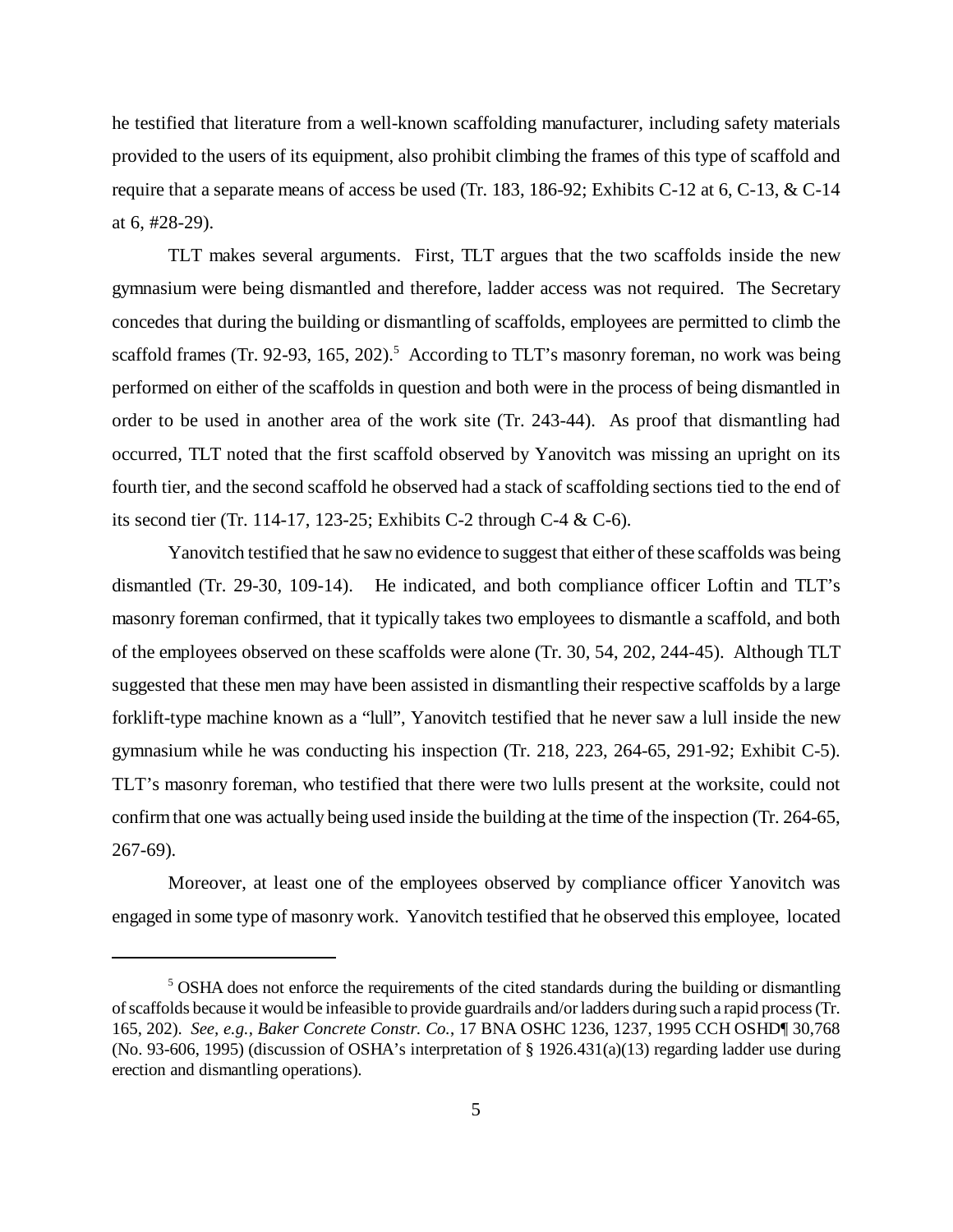he testified that literature from a well-known scaffolding manufacturer, including safety materials provided to the users of its equipment, also prohibit climbing the frames of this type of scaffold and require that a separate means of access be used (Tr. 183, 186-92; Exhibits C-12 at 6, C-13, & C-14 at 6, #28-29).

TLT makes several arguments. First, TLT argues that the two scaffolds inside the new gymnasium were being dismantled and therefore, ladder access was not required. The Secretary concedes that during the building or dismantling of scaffolds, employees are permitted to climb the scaffold frames (Tr. 92-93, 165, 202).<sup>5</sup> According to TLT's masonry foreman, no work was being performed on either of the scaffolds in question and both were in the process of being dismantled in order to be used in another area of the work site (Tr. 243-44). As proof that dismantling had occurred, TLT noted that the first scaffold observed by Yanovitch was missing an upright on its fourth tier, and the second scaffold he observed had a stack of scaffolding sections tied to the end of its second tier (Tr. 114-17, 123-25; Exhibits C-2 through C-4 & C-6).

Yanovitch testified that he saw no evidence to suggest that either of these scaffolds was being dismantled (Tr. 29-30, 109-14). He indicated, and both compliance officer Loftin and TLT's masonry foreman confirmed, that it typically takes two employees to dismantle a scaffold, and both of the employees observed on these scaffolds were alone (Tr. 30, 54, 202, 244-45). Although TLT suggested that these men may have been assisted in dismantling their respective scaffolds by a large forklift-type machine known as a "lull", Yanovitch testified that he never saw a lull inside the new gymnasium while he was conducting his inspection (Tr. 218, 223, 264-65, 291-92; Exhibit C-5). TLT's masonry foreman, who testified that there were two lulls present at the worksite, could not confirm that one was actually being used inside the building at the time of the inspection (Tr. 264-65, 267-69).

Moreover, at least one of the employees observed by compliance officer Yanovitch was engaged in some type of masonry work. Yanovitch testified that he observed this employee, located

<sup>&</sup>lt;sup>5</sup> OSHA does not enforce the requirements of the cited standards during the building or dismantling of scaffolds because it would be infeasible to provide guardrails and/or ladders during such a rapid process (Tr. 165, 202). *See, e.g., Baker Concrete Constr. Co.*, 17 BNA OSHC 1236, 1237, 1995 CCH OSHD¶ 30,768 (No. 93-606, 1995) (discussion of OSHA's interpretation of § 1926.431(a)(13) regarding ladder use during erection and dismantling operations).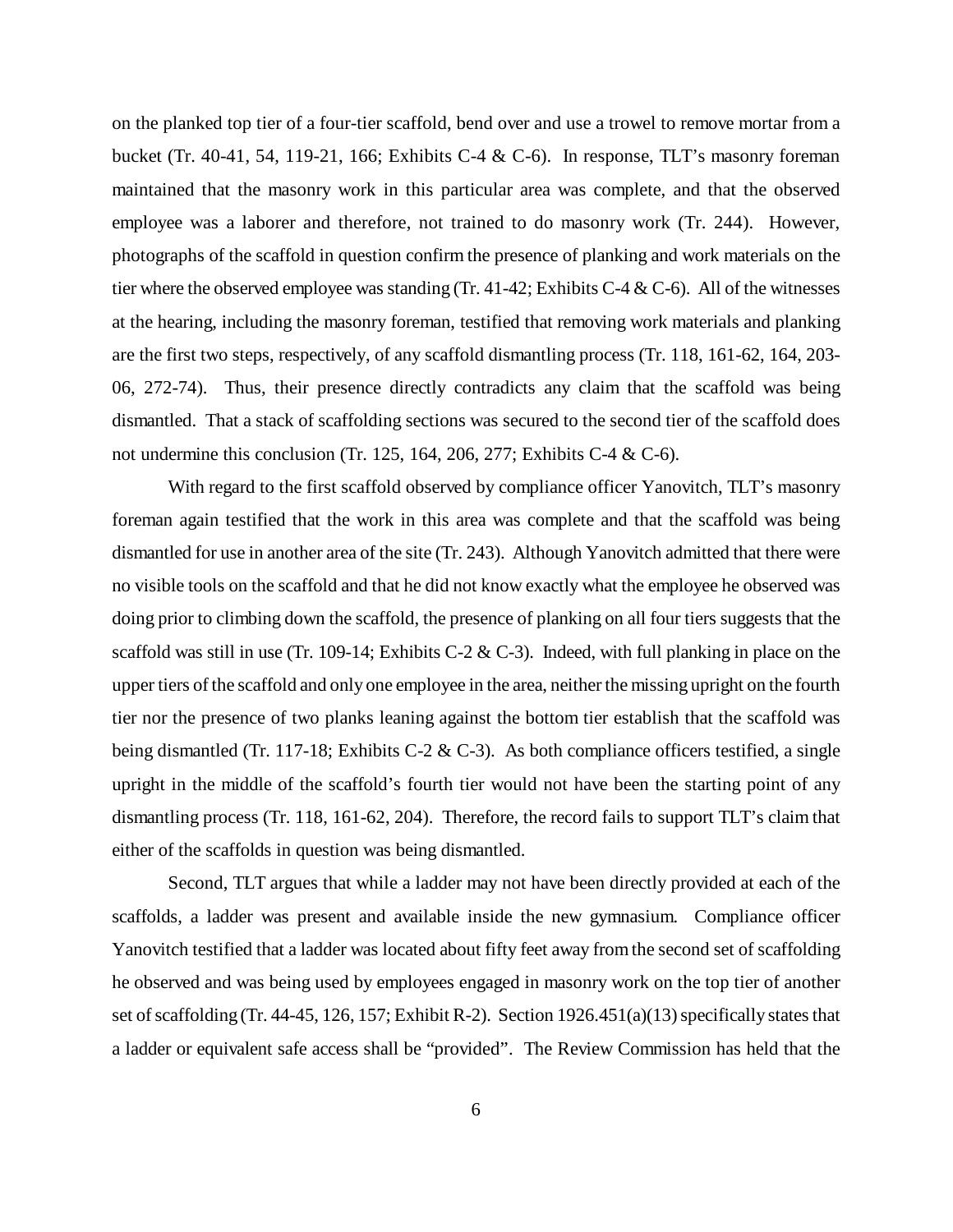on the planked top tier of a four-tier scaffold, bend over and use a trowel to remove mortar from a bucket (Tr. 40-41, 54, 119-21, 166; Exhibits C-4 & C-6). In response, TLT's masonry foreman maintained that the masonry work in this particular area was complete, and that the observed employee was a laborer and therefore, not trained to do masonry work (Tr. 244). However, photographs of the scaffold in question confirm the presence of planking and work materials on the tier where the observed employee was standing (Tr. 41-42; Exhibits C-4 & C-6). All of the witnesses at the hearing, including the masonry foreman, testified that removing work materials and planking are the first two steps, respectively, of any scaffold dismantling process (Tr. 118, 161-62, 164, 203- 06, 272-74). Thus, their presence directly contradicts any claim that the scaffold was being dismantled. That a stack of scaffolding sections was secured to the second tier of the scaffold does not undermine this conclusion (Tr. 125, 164, 206, 277; Exhibits C-4 & C-6).

With regard to the first scaffold observed by compliance officer Yanovitch, TLT's masonry foreman again testified that the work in this area was complete and that the scaffold was being dismantled for use in another area of the site (Tr. 243). Although Yanovitch admitted that there were no visible tools on the scaffold and that he did not know exactly what the employee he observed was doing prior to climbing down the scaffold, the presence of planking on all four tiers suggests that the scaffold was still in use (Tr. 109-14; Exhibits C-2 & C-3). Indeed, with full planking in place on the upper tiers of the scaffold and only one employee in the area, neither the missing upright on the fourth tier nor the presence of two planks leaning against the bottom tier establish that the scaffold was being dismantled (Tr. 117-18; Exhibits C-2 & C-3). As both compliance officers testified, a single upright in the middle of the scaffold's fourth tier would not have been the starting point of any dismantling process (Tr. 118, 161-62, 204). Therefore, the record fails to support TLT's claim that either of the scaffolds in question was being dismantled.

Second, TLT argues that while a ladder may not have been directly provided at each of the scaffolds, a ladder was present and available inside the new gymnasium. Compliance officer Yanovitch testified that a ladder was located about fifty feet away from the second set of scaffolding he observed and was being used by employees engaged in masonry work on the top tier of another set of scaffolding (Tr. 44-45, 126, 157; Exhibit R-2). Section 1926.451(a)(13) specifically states that a ladder or equivalent safe access shall be "provided". The Review Commission has held that the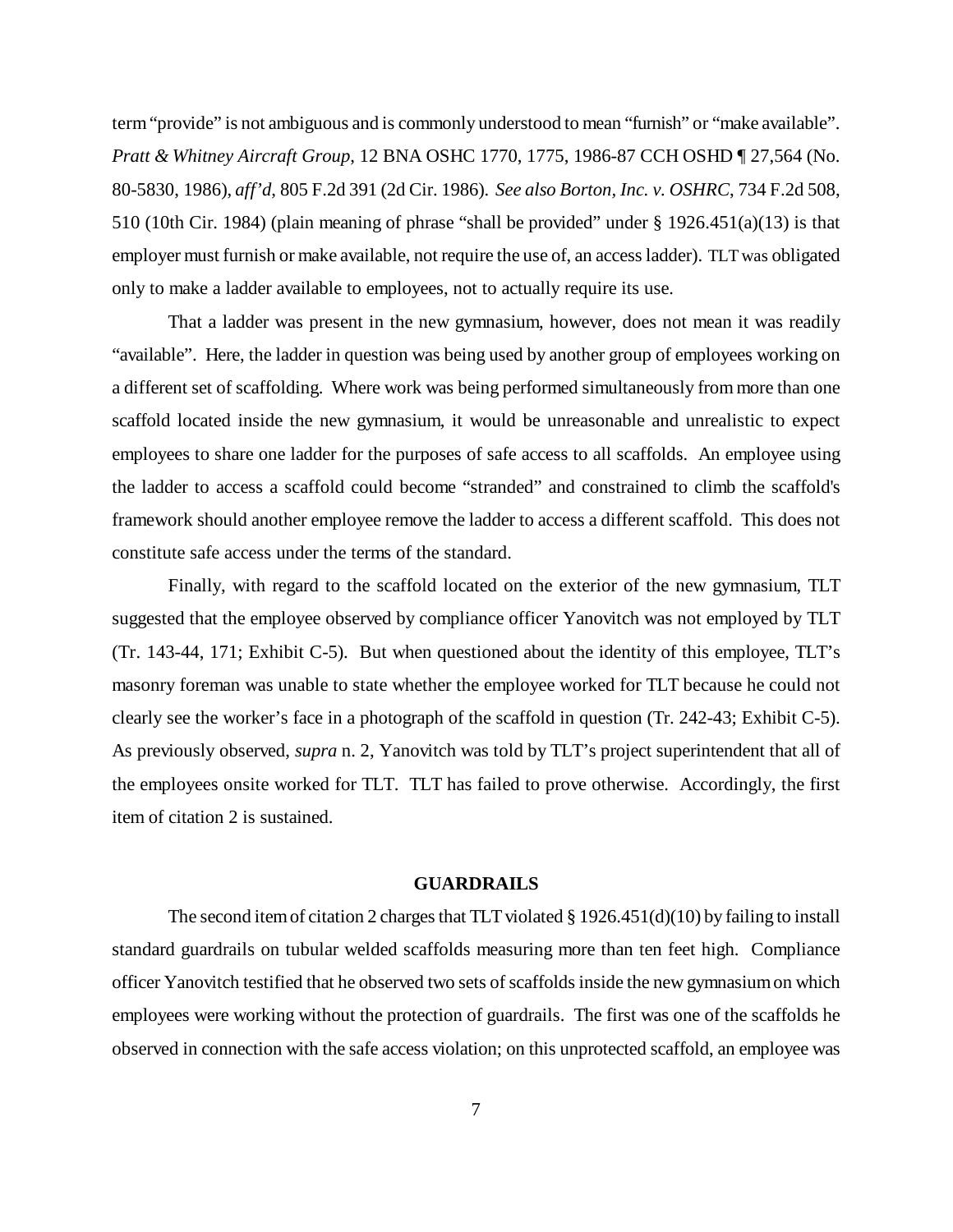term "provide" is not ambiguous and is commonly understood to mean "furnish" or "make available". *Pratt & Whitney Aircraft Group*, 12 BNA OSHC 1770, 1775, 1986-87 CCH OSHD ¶ 27,564 (No. 80-5830, 1986), *aff'd*, 805 F.2d 391 (2d Cir. 1986). *See also Borton, Inc. v. OSHRC*, 734 F.2d 508, 510 (10th Cir. 1984) (plain meaning of phrase "shall be provided" under § 1926.451(a)(13) is that employer must furnish or make available, not require the use of, an access ladder). TLT was obligated only to make a ladder available to employees, not to actually require its use.

That a ladder was present in the new gymnasium, however, does not mean it was readily "available". Here, the ladder in question was being used by another group of employees working on a different set of scaffolding. Where work was being performed simultaneously from more than one scaffold located inside the new gymnasium, it would be unreasonable and unrealistic to expect employees to share one ladder for the purposes of safe access to all scaffolds. An employee using the ladder to access a scaffold could become "stranded" and constrained to climb the scaffold's framework should another employee remove the ladder to access a different scaffold. This does not constitute safe access under the terms of the standard.

Finally, with regard to the scaffold located on the exterior of the new gymnasium, TLT suggested that the employee observed by compliance officer Yanovitch was not employed by TLT (Tr. 143-44, 171; Exhibit C-5). But when questioned about the identity of this employee, TLT's masonry foreman was unable to state whether the employee worked for TLT because he could not clearly see the worker's face in a photograph of the scaffold in question (Tr. 242-43; Exhibit C-5). As previously observed, *supra* n. 2, Yanovitch was told by TLT's project superintendent that all of the employees onsite worked for TLT. TLT has failed to prove otherwise. Accordingly, the first item of citation 2 is sustained.

### **GUARDRAILS**

The second item of citation 2 charges that TLT violated § 1926.451(d)(10) by failing to install standard guardrails on tubular welded scaffolds measuring more than ten feet high. Compliance officer Yanovitch testified that he observed two sets of scaffolds inside the new gymnasium on which employees were working without the protection of guardrails. The first was one of the scaffolds he observed in connection with the safe access violation; on this unprotected scaffold, an employee was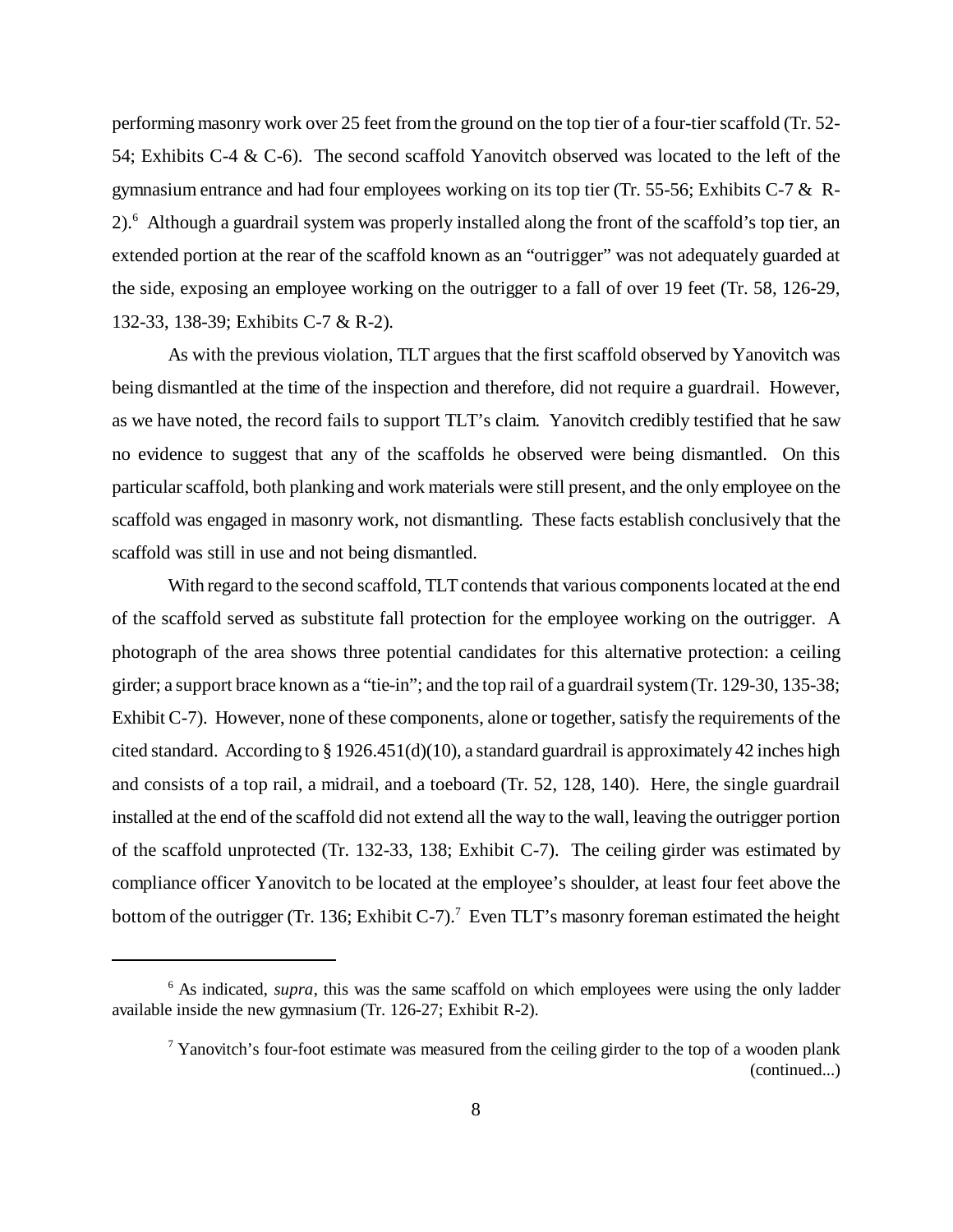performing masonry work over 25 feet from the ground on the top tier of a four-tier scaffold (Tr. 52- 54; Exhibits C-4 & C-6). The second scaffold Yanovitch observed was located to the left of the gymnasium entrance and had four employees working on its top tier (Tr. 55-56; Exhibits C-7 & R-2).<sup>6</sup> Although a guardrail system was properly installed along the front of the scaffold's top tier, an extended portion at the rear of the scaffold known as an "outrigger" was not adequately guarded at the side, exposing an employee working on the outrigger to a fall of over 19 feet (Tr. 58, 126-29, 132-33, 138-39; Exhibits C-7 & R-2).

As with the previous violation, TLT argues that the first scaffold observed by Yanovitch was being dismantled at the time of the inspection and therefore, did not require a guardrail. However, as we have noted, the record fails to support TLT's claim. Yanovitch credibly testified that he saw no evidence to suggest that any of the scaffolds he observed were being dismantled. On this particular scaffold, both planking and work materials were still present, and the only employee on the scaffold was engaged in masonry work, not dismantling. These facts establish conclusively that the scaffold was still in use and not being dismantled.

With regard to the second scaffold, TLT contends that various components located at the end of the scaffold served as substitute fall protection for the employee working on the outrigger. A photograph of the area shows three potential candidates for this alternative protection: a ceiling girder; a support brace known as a "tie-in"; and the top rail of a guardrail system (Tr. 129-30, 135-38; Exhibit C-7). However, none of these components, alone or together, satisfy the requirements of the cited standard. According to  $\S 1926.451(d)(10)$ , a standard guardrail is approximately 42 inches high and consists of a top rail, a midrail, and a toeboard (Tr. 52, 128, 140). Here, the single guardrail installed at the end of the scaffold did not extend all the way to the wall, leaving the outrigger portion of the scaffold unprotected (Tr. 132-33, 138; Exhibit C-7). The ceiling girder was estimated by compliance officer Yanovitch to be located at the employee's shoulder, at least four feet above the bottom of the outrigger (Tr. 136; Exhibit C-7).<sup>7</sup> Even TLT's masonry foreman estimated the height

<sup>&</sup>lt;sup>6</sup> As indicated, *supra*, this was the same scaffold on which employees were using the only ladder available inside the new gymnasium (Tr. 126-27; Exhibit R-2).

 $7$  Yanovitch's four-foot estimate was measured from the ceiling girder to the top of a wooden plank (continued...)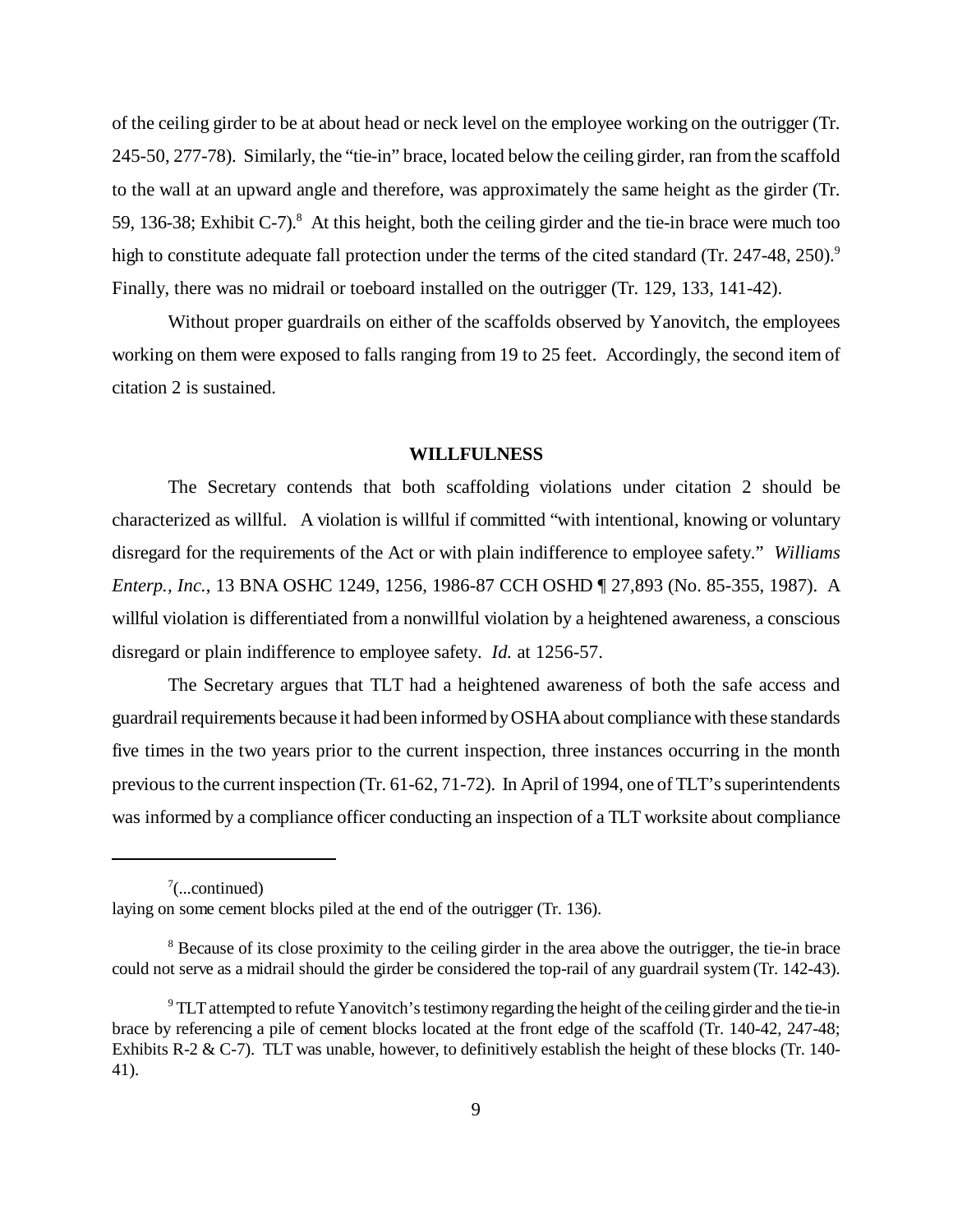of the ceiling girder to be at about head or neck level on the employee working on the outrigger (Tr. 245-50, 277-78). Similarly, the "tie-in" brace, located below the ceiling girder, ran from the scaffold to the wall at an upward angle and therefore, was approximately the same height as the girder (Tr. 59, 136-38; Exhibit C-7).<sup>8</sup> At this height, both the ceiling girder and the tie-in brace were much too high to constitute adequate fall protection under the terms of the cited standard (Tr. 247-48, 250).<sup>9</sup> Finally, there was no midrail or toeboard installed on the outrigger (Tr. 129, 133, 141-42).

Without proper guardrails on either of the scaffolds observed by Yanovitch, the employees working on them were exposed to falls ranging from 19 to 25 feet. Accordingly, the second item of citation 2 is sustained.

### **WILLFULNESS**

The Secretary contends that both scaffolding violations under citation 2 should be characterized as willful. A violation is willful if committed "with intentional, knowing or voluntary disregard for the requirements of the Act or with plain indifference to employee safety." *Williams Enterp., Inc.*, 13 BNA OSHC 1249, 1256, 1986-87 CCH OSHD ¶ 27,893 (No. 85-355, 1987). A willful violation is differentiated from a nonwillful violation by a heightened awareness, a conscious disregard or plain indifference to employee safety. *Id.* at 1256-57.

The Secretary argues that TLT had a heightened awareness of both the safe access and guardrail requirements because it had been informed by OSHA about compliance with these standards five times in the two years prior to the current inspection, three instances occurring in the month previous to the current inspection (Tr. 61-62, 71-72). In April of 1994, one of TLT's superintendents was informed by a compliance officer conducting an inspection of a TLT worksite about compliance

 $\sqrt[7]{}$ ...continued)

laying on some cement blocks piled at the end of the outrigger (Tr. 136).

<sup>&</sup>lt;sup>8</sup> Because of its close proximity to the ceiling girder in the area above the outrigger, the tie-in brace could not serve as a midrail should the girder be considered the top-rail of any guardrail system (Tr. 142-43).

 $9$  TLT attempted to refute Yanovitch's testimony regarding the height of the ceiling girder and the tie-in brace by referencing a pile of cement blocks located at the front edge of the scaffold (Tr. 140-42, 247-48; Exhibits R-2 & C-7). TLT was unable, however, to definitively establish the height of these blocks (Tr. 140-41).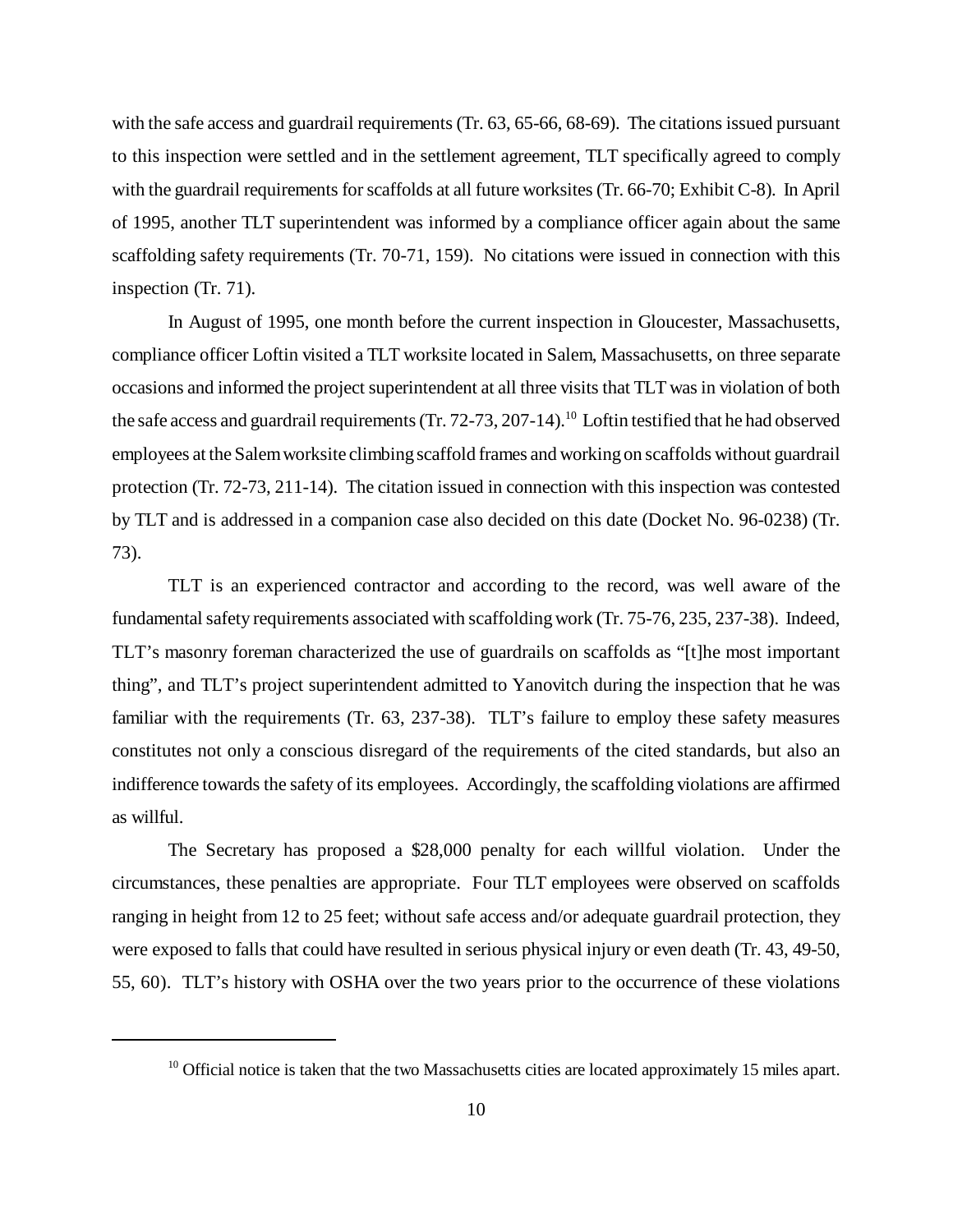with the safe access and guardrail requirements (Tr. 63, 65-66, 68-69). The citations issued pursuant to this inspection were settled and in the settlement agreement, TLT specifically agreed to comply with the guardrail requirements for scaffolds at all future worksites (Tr. 66-70; Exhibit C-8). In April of 1995, another TLT superintendent was informed by a compliance officer again about the same scaffolding safety requirements (Tr. 70-71, 159). No citations were issued in connection with this inspection (Tr. 71).

In August of 1995, one month before the current inspection in Gloucester, Massachusetts, compliance officer Loftin visited a TLT worksite located in Salem, Massachusetts, on three separate occasions and informed the project superintendent at all three visits that TLT was in violation of both the safe access and guardrail requirements (Tr. 72-73, 207-14).<sup>10</sup> Loftin testified that he had observed employees at the Salem worksite climbing scaffold frames and working on scaffolds without guardrail protection (Tr. 72-73, 211-14). The citation issued in connection with this inspection was contested by TLT and is addressed in a companion case also decided on this date (Docket No. 96-0238) (Tr. 73).

TLT is an experienced contractor and according to the record, was well aware of the fundamental safety requirements associated with scaffolding work (Tr. 75-76, 235, 237-38). Indeed, TLT's masonry foreman characterized the use of guardrails on scaffolds as "[t]he most important thing", and TLT's project superintendent admitted to Yanovitch during the inspection that he was familiar with the requirements (Tr. 63, 237-38). TLT's failure to employ these safety measures constitutes not only a conscious disregard of the requirements of the cited standards, but also an indifference towards the safety of its employees. Accordingly, the scaffolding violations are affirmed as willful.

The Secretary has proposed a \$28,000 penalty for each willful violation. Under the circumstances, these penalties are appropriate. Four TLT employees were observed on scaffolds ranging in height from 12 to 25 feet; without safe access and/or adequate guardrail protection, they were exposed to falls that could have resulted in serious physical injury or even death (Tr. 43, 49-50, 55, 60). TLT's history with OSHA over the two years prior to the occurrence of these violations

<sup>&</sup>lt;sup>10</sup> Official notice is taken that the two Massachusetts cities are located approximately 15 miles apart.